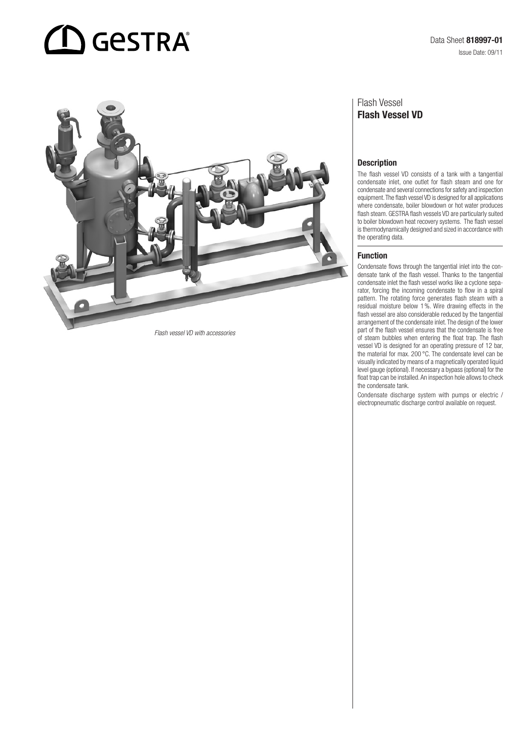# $\mathbf D$  GeSTRA



*Flash vessel VD with accessories*

## Flash Vessel Flash Vessel VD

#### **Description**

The flash vessel VD consists of a tank with a tangential condensate inlet, one outlet for flash steam and one for condensate and several connections for safety and inspection equipment. The flash vessel VD is designed for all applications where condensate, boiler blowdown or hot water produces flash steam. GESTRA flash vessels VD are particularly suited to boiler blowdown heat recovery systems. The flash vessel is thermodynamically designed and sized in accordance with the operating data.

#### Function

Condensate flows through the tangential inlet into the condensate tank of the flash vessel. Thanks to the tangential condensate inlet the flash vessel works like a cyclone separator, forcing the incoming condensate to flow in a spiral pattern. The rotating force generates flash steam with a residual moisture below 1%. Wire drawing effects in the flash vessel are also considerable reduced by the tangential arrangement of the condensate inlet. The design of the lower part of the flash vessel ensures that the condensate is free of steam bubbles when entering the float trap. The flash vessel VD is designed for an operating pressure of 12 bar, the material for max. 200 °C. The condensate level can be visually indicated by means of a magnetically operated liquid level gauge (optional). If necessary a bypass (optional) for the float trap can be installed. An inspection hole allows to check the condensate tank.

Condensate discharge system with pumps or electric / electropneumatic discharge control available on request.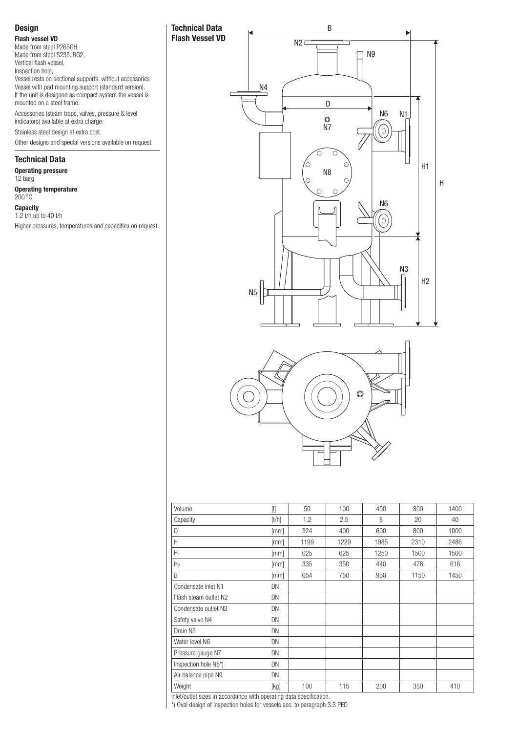## Design

Flash vessel VD

Made from steel P265GH, Made from steel S235JRG2, Vertical flash vessel, Inspection hole,

Vessel rests on sectional supports, without accessories Vessel with pad mounting support (standard version). If the unit is designed as compact system the vessel is mounted on a steel frame.

Technical Data Flash Vessel VD

Accessories (steam traps, valves, pressure & level indicators) available at extra charge. Stainless steel design at extra cost.

Other designs and special versions available on request.

## Technical Data

Operating pressure 12 barg Operating temperature 200 °C **Capacity** 1.2 t/h up to 40 t/h

Higher pressures, temperatures and capacities on request.





| Volume                | $[1]$ | 50   | 100  | 400  | 800  | 1400 |
|-----------------------|-------|------|------|------|------|------|
| Capacity              | [t/h] | 1.2  | 2.5  | 8    | 20   | 40   |
| D                     | [mm]  | 324  | 400  | 600  | 800  | 1000 |
| Н                     | [mm]  | 1199 | 1229 | 1985 | 2310 | 2486 |
| $H_1$                 | [mm]  | 625  | 625  | 1250 | 1500 | 1500 |
| H <sub>2</sub>        | [mm]  | 335  | 350  | 440  | 478  | 616  |
| B                     | [mm]  | 654  | 750  | 950  | 1150 | 1450 |
| Condensate inlet N1   | DN    |      |      |      |      |      |
| Flash steam outlet N2 | DN    |      |      |      |      |      |
| Condensate outlet N3  | DN    |      |      |      |      |      |
| Safety valve N4       | DN    |      |      |      |      |      |
| Drain N <sub>5</sub>  | DN    |      |      |      |      |      |
| Water level N6        | DN    |      |      |      |      |      |
| Pressure gauge N7     | DN    |      |      |      |      |      |
| Inspection hole N8*)  | DN    |      |      |      |      |      |
| Air balance pipe N9   | DN    |      |      |      |      |      |
| Weight                | [kg]  | 100  | 115  | 200  | 350  | 410  |

Inlet/outlet sizes in accordance with operating data specification.

\*) Oval design of inspection holes for vessels acc. to paragraph 3.3 PED